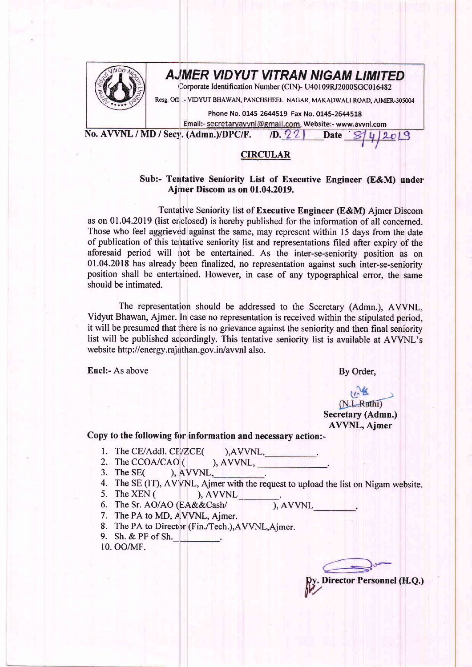

## A,JMER VIDYUT VITRAN NIGAM LIMITED

Corporate Identification Number (CIN)- U40109RJ2000SGC016482

Resg. Off :- VIDYUT BHAWAN, PANCHSHEEL NAGAR, MAKADWALI ROAD, AJMER-305004

Phone No. 0145-2644519 Fax No. 0145-2644518

Email:- <u>secretaryavvnl@gmail.com</u>, Website:- www.avvnl.com<br>(Admn.)/DPC/F. /D. 22 Date *S*/4/2019

No. AVVNL / MD / Secv. (Admn.)/DPC/F.

## **CIRCULAR**

## Sub:- Tentative Seniority List of Executive Engineer (E&M) under Ajmer Discom as on 01.04.2019.

Tentative Seniority list of Executive Engineer (E&M) Ajmer Discom as on 01.04.2019 (list enclosed) is hereby published for the information of all concerned. Those who feel aggrieved against the same, may represent within 15 days from the date of publication of this tentative seniority list and representations filed after expiry of the aforesaid period will not be entertained. As the inter-se-seniority position as on 01.04.2018 has already been finalized, no representation against such inter-se-seniority position shall be entertained. However, in case of any typographical error, the same should be intimated.

The representation should be addressed to the Secretary (Admn.), AVVNL, Vidyut Bhawan, Ajmer. In case no representation is received within the stipulated period, it will be presumed that there is no grievance against the seniority and then final seniority list will be published accordingly. This tentative seniority list is available at AVVNL's website http://energy.rajathan.gov.in/avvnl also.

Encl:- As above By Order,

 $M.L.Rathi)$ Secretary (Admn.) AVVNL, Ajmer

Copy to the following for information and necessary action:-

- -
- 1. The CE/Addl. CE/ZCE(
), AVVNL,<br>
2. The CCOA/CAO (
), AVVNL,
- 3. The  $SE($  ), AVVNL
- 4. The SE (IT), AVVNL, Ajmer with the request to upload the list on Nigam website.<br>5. The XEN ( ), AVVNL
- 5. The XEN  $($ ,  $)$ , AVVNL
- 6. The Sr. AO/AO (EA&&Cash/
- ), AVVNL
- 7. The PA to MD, A VVNL, Ajmer.
- 8. The PA to Director (Fin./Tech.),AVVNL,Aimer.
- 9. Sh. & PF of Sh.\_ all the stage

10. OO/MF.

Director Personnel (H.Q.)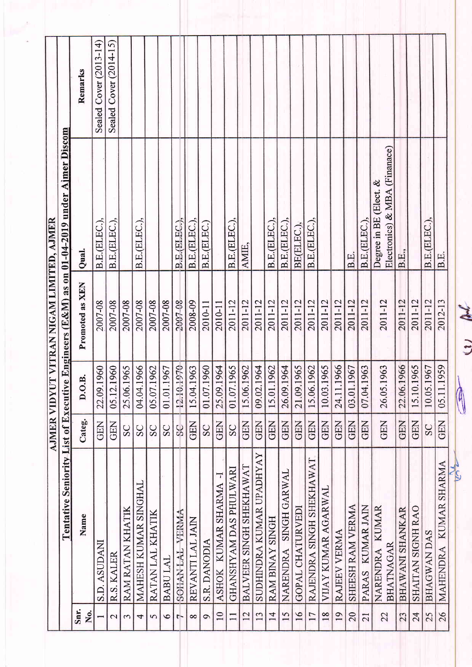|                 |                                              | <b>AJMER VIDYU</b> |                  | <b>T VITRAN NIGAM LIMITED, AJMER</b> |                                                                                                    |                           |
|-----------------|----------------------------------------------|--------------------|------------------|--------------------------------------|----------------------------------------------------------------------------------------------------|---------------------------|
| Snr.            | Name                                         | Categ.             | $\dot{p}$<br>0.0 | Promoted as XEN                      | Tentative Seniority List of Executive Engineers (E&M) as on 01-04-2019 under Ajmer Discom<br>Qual. | Remarks                   |
| Σ°,             | <b>S.D. ASUDANI</b>                          | <b>GEN</b>         | 1960<br>22.09.   | 2007-08                              | B.E.(ELEC.)                                                                                        | Cover (2013-14)<br>Sealed |
| $\mathbf{C}$    | R.S. KALER                                   | <b>GEN</b>         | 1960<br>05.12.   | 2007-08                              | B.E.(ELEC.).                                                                                       | Sealed Cover (2014-15)    |
| $\mathfrak{g}$  | RAM RATAN KHATIK                             | SC                 | 1965<br>25.06.   | 2007-08                              |                                                                                                    |                           |
| $\overline{4}$  | MAHESH KUMAR SINGHAL                         | SC                 | 1966<br>04.04.   | 2007-08                              | B.E.(ELEC.).                                                                                       |                           |
| $\sigma$        | RATAN LAL KHATIK                             | SC                 | 1962<br>05.07.   | 2007-08                              |                                                                                                    |                           |
| 6               | BABU LAL                                     | SC                 | 1967<br>01.01.   | 2007-08                              |                                                                                                    |                           |
| $\mathsf{r}$    | SOHAN LAL VERMA                              | $\overline{c}$     | 1970<br>12.10.   | 2007-08                              | B.E.(ELEC.)                                                                                        |                           |
| $\infty$        | REVANTI LAL JAIN                             | GEN                | 1963<br>15.04.   | 2008-09                              | B.E.(ELEC.)                                                                                        |                           |
| $\sigma$        | <b>S.R. DANODIA</b>                          | SC                 | 1960<br>01.07.   | 2010-11                              | B.E.(ELEC.                                                                                         |                           |
| 10              | F<br>ASHOK KUMAR SHARMA                      | <b>GEN</b>         | 1964<br>25.09.   | 2010-11                              |                                                                                                    |                           |
| $\Box$          | GHANSHYAM DAS PHULWARI                       | SC                 | 1965<br>01.07.   | 2011-12                              | B.E.(ELEC.),                                                                                       |                           |
| 12              | BALVEER SINGH SHEKHAWAT                      | GEN                | 1962<br>15.06.   | 2011-12                              | AMIE,                                                                                              |                           |
| 13              | SUDHINDRA KUMAR UPADHYAY                     | GEN                | 1964<br>09.02.   | 2011-12                              |                                                                                                    |                           |
| $\overline{14}$ | RAM BINAY SINGH                              | <b>GEN</b>         | 1962<br>15.01.   | 2011-12                              | B.E.(ELEC.)                                                                                        |                           |
| 15              | NARENDRA SINGH GARWAL                        | GEN                | 1964<br>26.09.   | 2011-12                              | B.E.(ELEC.)                                                                                        |                           |
| 16              | GOPAL CHATURVEDI                             | <b>GEN</b>         | 1965<br>21.09.   | 2011-12                              | BE(ELEC.).                                                                                         |                           |
| 17              | RAJENDRA SINGH SHEKHAWAT                     | <b>GEN</b>         | 1962<br>15.06.   | 2011-12                              | B.E.(ELEC.)                                                                                        |                           |
| 18              | VIJAY KUMAR AGARWAL                          | GEN                | 1965<br>10.03.   | 2011-12                              |                                                                                                    |                           |
| 19              | RAJEEV VERMA                                 | <b>GEN</b>         | 1966<br>24.11.   | 2011-12                              |                                                                                                    |                           |
| 20              | SHEESH RAM VERMA                             | <b>GEN</b>         | 1967<br>03.01.   | 2011-12                              | B.E.                                                                                               |                           |
| 21              | PARAS KUMAR JAIN                             | <b>GEN</b>         | 1963<br>07.04.   | 2011-12                              | B.E.(ELEC.)                                                                                        |                           |
| 22              | <b>KUMAR</b><br><b>BHATNAGAR</b><br>NARENDRA | GEN                | 26.05.1963       | 2011-12                              | Electronics) & MBA (Finanace)<br>Degree in BE (Elect. $\&$                                         |                           |
| 23              | <b>BHAWANI SHANKAR</b>                       | <b>GEN</b>         | 1966<br>22.06.   | 2011-12                              | B.E.,                                                                                              |                           |
| 24              | SHAITAN SIGNH RAO                            | <b>GEN</b>         | 1965<br>15.10.   | 2011-12                              |                                                                                                    |                           |
| 25              | <b>BHAGWAN DAS</b>                           | SC                 | 1967<br>10.05.   | 2011-12                              | B.E.(ELEC.),                                                                                       |                           |
| 26              | MAHENDRA KUMAR SHARMA                        | GEN                | 1959<br>05.11.   | 2012-13                              | B.E                                                                                                |                           |
|                 | VS 2                                         |                    | 0                | <b>ALL</b><br>$1 - 4$                |                                                                                                    |                           |

a) pl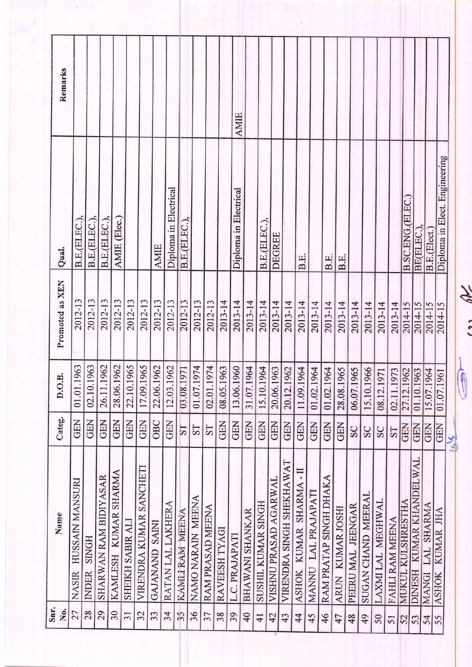| Remarks             |                                 |                              |                       |                      |                  |                         |                |                       |                         |                   |                  |                | <b>AMIE</b>           |                        |                    |                       |                          |                                    |                     |                        |                            |                   |                    |                  |                 |                                 |                                   |                     |                               |
|---------------------|---------------------------------|------------------------------|-----------------------|----------------------|------------------|-------------------------|----------------|-----------------------|-------------------------|-------------------|------------------|----------------|-----------------------|------------------------|--------------------|-----------------------|--------------------------|------------------------------------|---------------------|------------------------|----------------------------|-------------------|--------------------|------------------|-----------------|---------------------------------|-----------------------------------|---------------------|-------------------------------|
| Qual.               | B.E.(ELEC.)                     | B.E.(ELEC.)                  | B.E.(ELEC.)           | AMIE (Elec.)         |                  |                         | <b>AMIE</b>    | Diploma in Electrical | B.E.(ELEC.)             |                   |                  |                | Diploma in Electrical |                        | B.E.(ELEC.),       | DEGREE                |                          | B.E.                               |                     | B.E                    | B.E.                       |                   |                    |                  |                 | B.SC.ENG.(ELEC.)                | BE(ELEC.)                         | B.E.(Elect.)        | Diploma in Elect. Engineering |
| Promoted as XEN     | 2012-13                         | 2012-13                      | 2012-13               | 2012-13              | 2012-13          | 2012-13                 | 2012-13        | 2012-13               | 2012-13                 | 2012-13           | 2012-13          | 2013-14        | 2013-14               | 2013-14                | 2013-14            | 2013-14               | 2013-14                  | $2013 - 14$                        | 2013-14             | 2013-14                | 2013-14                    | 2013-14           | 2013-14            | 2013-14          |                 | $\frac{2013 - 14}{2014 - 15}$   | 2014-15                           | 2014-15             | 2014-15                       |
| $\dot{a}$<br>ن<br>د | .1963<br>01.01.                 | 02.10.1963                   | 26.11.1962            | 28.06.1962           | 22.10.1965       | 17.09.1965              | 22.06.1962     | 12.03.1962            | 03.08.1971              | 01.07.1974        | 1974<br>02.01.   | 1963<br>08.05. | 1960<br>13.06.        | 1964<br>31.07.         | 1964<br>15.10.     | 1963<br>20.06.        | 1962<br>20.12.           | 1964<br>11.09.                     | 1964<br>01.02.      | 1964<br>01.02.         | 1965<br>28.08.1            | 1965<br>06.07.1   | 1966<br>15.10.1    | 1971<br>08.12.   | 02.11.1         | 1973<br>1962<br>1963<br>27.12.1 | 01.10.1                           | 1964<br>15.07.1     | $\sqrt{961}$<br>01.07.1       |
| Categ.              | <b>GEN</b>                      | <b>GEN</b>                   | GEN                   | <b>GEN</b>           | GEN              | <b>GEN</b>              | OBC            | <b>GEN</b>            | $\overline{\mathbf{S}}$ | TS                | <b>TS</b>        | <b>GEN</b>     | <b>GEN</b>            | <b>GEN</b>             | <b>GEN</b>         | <b>GEN</b>            | <b>GEN</b>               | <b>GEN</b>                         | <b>GEN</b>          | <b>GEN</b>             | GEN                        | SC                | SC                 | SC               | ST              | GEN                             | GEN                               | <b>GEN</b>          | <b>GEN</b><br>$M_{\nu}$       |
| Name                | HUSSAIN MANSURI<br><b>NASIR</b> | <b>SINGH</b><br><b>INDER</b> | SHARWAN RAM BIDIYASAR | KAMLESH KUMAR SHARMA | SHEIKH SABIR ALI | VIRENDRA KUMAR SANCHETI | GAJANAND SAINI | RATAN LAL LAKHERA     | KAMLI RAM MEENA         | NAMO NARAIN MEENA | RAM PRASAD MEENA | RAVEESH TYAGI  | L.C. PRAJAPATI        | <b>BHAWANI SHANKAR</b> | SUSHIL KUMAR SINGH | VISHNU PRASAD AGARWAL | VIRENDRA SINGH SHEKHAWAT | $\mathbf{I}$<br>ASHOK KUMAR SHARMA | MANNU LAL PRAJAPATI | RAM PRATAP SINGH DHAKA | KUMAR JOSHI<br><b>ARUN</b> | PEERU MAL JEENGAR | SUGAN CHAND MEERAL | LAXMILAL MEGHWAL | FAHLI RAM MEENA | MUKUL KULSHRESTHA               | KUMAR KHANDELWAL<br><b>DINESH</b> | LAL SHARMA<br>MANGI | KUMAR JHA<br><b>ASHOK</b>     |
| Snr.<br>Ño.         | 27                              | 28                           | 29                    | 30                   | $\overline{31}$  | 32                      | 33             | 34                    | $\tilde{3}$             | 36                | 37               | 38             | 39                    | 40                     | $\overline{41}$    | 42                    | 43                       | 44                                 | 45                  | 46                     | 47                         | 48                | 49                 | 50               | 51              | 52                              | 53                                | 54                  | 55                            |

in RK

 $\tilde{\Sigma}$